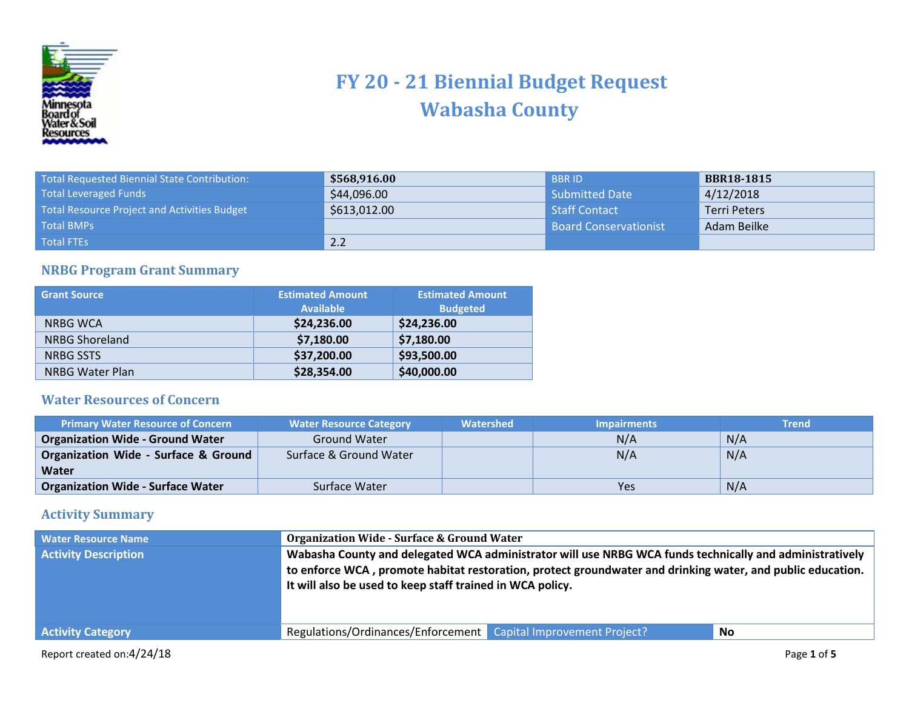

## **FY 20 - 21 Biennial Budget Request Wabasha County**

| <b>Total Requested Biennial State Contribution:</b> | \$568,916.00 | <b>BBRID</b>                 | <b>BBR18-1815</b>   |
|-----------------------------------------------------|--------------|------------------------------|---------------------|
| <b>Total Leveraged Funds</b>                        | \$44,096.00  | Submitted Date               | 4/12/2018           |
| Total Resource Project and Activities Budget        | \$613,012.00 | Staff Contact                | <b>Terri Peters</b> |
| <b>Total BMPs</b>                                   |              | <b>Board Conservationist</b> | Adam Beilke         |
| Total FTEs                                          | 2.2          |                              |                     |

## **NRBG Program Grant Summary**

| <b>Grant Source</b>    | <b>Estimated Amount</b><br><b>Available</b> | <b>Estimated Amount</b><br><b>Budgeted</b> |
|------------------------|---------------------------------------------|--------------------------------------------|
| <b>NRBG WCA</b>        | \$24,236.00                                 | \$24,236.00                                |
| <b>NRBG Shoreland</b>  | \$7,180.00                                  | \$7,180.00                                 |
| <b>NRBG SSTS</b>       | \$37,200.00                                 | \$93,500.00                                |
| <b>NRBG Water Plan</b> | \$28,354.00                                 | \$40,000.00                                |

## **Water Resources of Concern**

| <b>Primary Water Resource of Concern</b> | <b>Water Resource Category</b> | Watershed | <b>Impairments</b> | <b>Trend</b> |
|------------------------------------------|--------------------------------|-----------|--------------------|--------------|
| <b>Organization Wide - Ground Water</b>  | <b>Ground Water</b>            |           | N/A                | N/A          |
| Organization Wide - Surface & Ground     | Surface & Ground Water         |           | N/A                | N/A          |
| Water                                    |                                |           |                    |              |
| <b>Organization Wide - Surface Water</b> | Surface Water                  |           | Yes                | N/A          |

## **Activity Summary**

| <b>Water Resource Name</b><br><b>Activity Description</b> | <b>Organization Wide - Surface &amp; Ground Water</b>           | Wabasha County and delegated WCA administrator will use NRBG WCA funds technically and administratively<br>to enforce WCA, promote habitat restoration, protect groundwater and drinking water, and public education.<br>It will also be used to keep staff trained in WCA policy. |             |  |
|-----------------------------------------------------------|-----------------------------------------------------------------|------------------------------------------------------------------------------------------------------------------------------------------------------------------------------------------------------------------------------------------------------------------------------------|-------------|--|
| <b>Activity Category</b>                                  | Regulations/Ordinances/Enforcement Capital Improvement Project? |                                                                                                                                                                                                                                                                                    | <b>No</b>   |  |
| Report created on:4/24/18                                 |                                                                 |                                                                                                                                                                                                                                                                                    | Page 1 of 5 |  |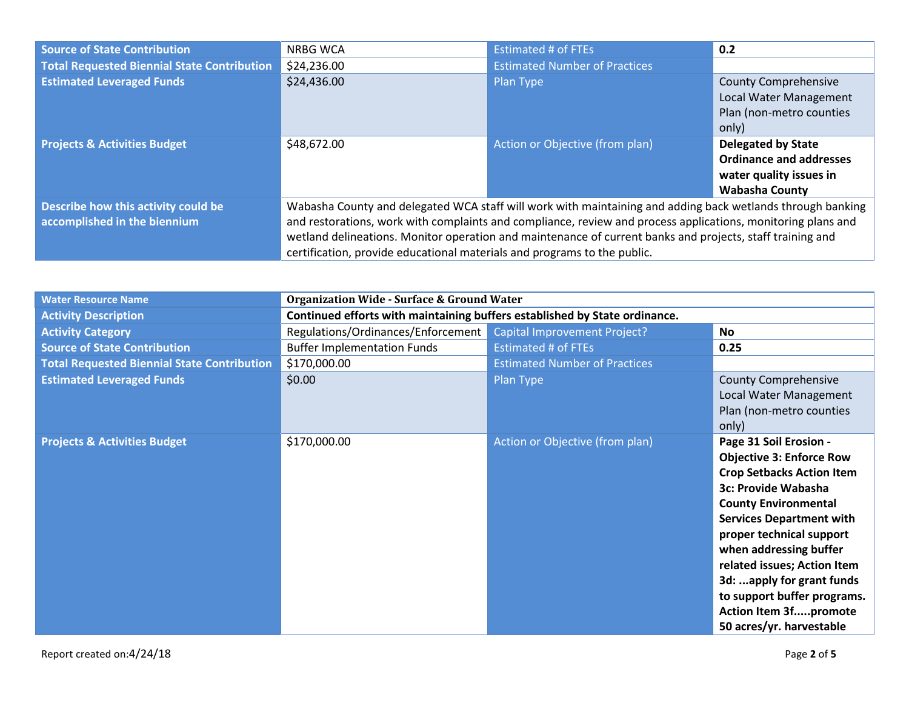| <b>Source of State Contribution</b>                                 | <b>NRBG WCA</b>                                                                                                                                                                                                                                                                                                                                                                                                     | <b>Estimated # of FTEs</b>           | 0.2                                                                                                             |
|---------------------------------------------------------------------|---------------------------------------------------------------------------------------------------------------------------------------------------------------------------------------------------------------------------------------------------------------------------------------------------------------------------------------------------------------------------------------------------------------------|--------------------------------------|-----------------------------------------------------------------------------------------------------------------|
| <b>Total Requested Biennial State Contribution</b>                  | \$24,236.00                                                                                                                                                                                                                                                                                                                                                                                                         | <b>Estimated Number of Practices</b> |                                                                                                                 |
| <b>Estimated Leveraged Funds</b>                                    | \$24,436.00                                                                                                                                                                                                                                                                                                                                                                                                         | Plan Type                            | <b>County Comprehensive</b><br>Local Water Management<br>Plan (non-metro counties<br>only)                      |
| <b>Projects &amp; Activities Budget</b>                             | \$48,672.00                                                                                                                                                                                                                                                                                                                                                                                                         | Action or Objective (from plan)      | <b>Delegated by State</b><br><b>Ordinance and addresses</b><br>water quality issues in<br><b>Wabasha County</b> |
| Describe how this activity could be<br>accomplished in the biennium | Wabasha County and delegated WCA staff will work with maintaining and adding back wetlands through banking<br>and restorations, work with complaints and compliance, review and process applications, monitoring plans and<br>wetland delineations. Monitor operation and maintenance of current banks and projects, staff training and<br>certification, provide educational materials and programs to the public. |                                      |                                                                                                                 |

| <b>Water Resource Name</b>                         | <b>Organization Wide - Surface &amp; Ground Water</b>                      |                                      |                                                                                                                                                                                                                                                                                                                                                                                                     |
|----------------------------------------------------|----------------------------------------------------------------------------|--------------------------------------|-----------------------------------------------------------------------------------------------------------------------------------------------------------------------------------------------------------------------------------------------------------------------------------------------------------------------------------------------------------------------------------------------------|
| <b>Activity Description</b>                        | Continued efforts with maintaining buffers established by State ordinance. |                                      |                                                                                                                                                                                                                                                                                                                                                                                                     |
| <b>Activity Category</b>                           | Regulations/Ordinances/Enforcement                                         | <b>Capital Improvement Project?</b>  | <b>No</b>                                                                                                                                                                                                                                                                                                                                                                                           |
| <b>Source of State Contribution</b>                | <b>Buffer Implementation Funds</b>                                         | <b>Estimated # of FTEs</b>           | 0.25                                                                                                                                                                                                                                                                                                                                                                                                |
| <b>Total Requested Biennial State Contribution</b> | \$170,000.00                                                               | <b>Estimated Number of Practices</b> |                                                                                                                                                                                                                                                                                                                                                                                                     |
| <b>Estimated Leveraged Funds</b>                   | \$0.00                                                                     | Plan Type                            | <b>County Comprehensive</b><br>Local Water Management<br>Plan (non-metro counties<br>only)                                                                                                                                                                                                                                                                                                          |
| <b>Projects &amp; Activities Budget</b>            | \$170,000.00                                                               | Action or Objective (from plan)      | Page 31 Soil Erosion -<br><b>Objective 3: Enforce Row</b><br><b>Crop Setbacks Action Item</b><br>3c: Provide Wabasha<br><b>County Environmental</b><br><b>Services Department with</b><br>proper technical support<br>when addressing buffer<br>related issues; Action Item<br>3d: apply for grant funds<br>to support buffer programs.<br><b>Action Item 3fpromote</b><br>50 acres/yr. harvestable |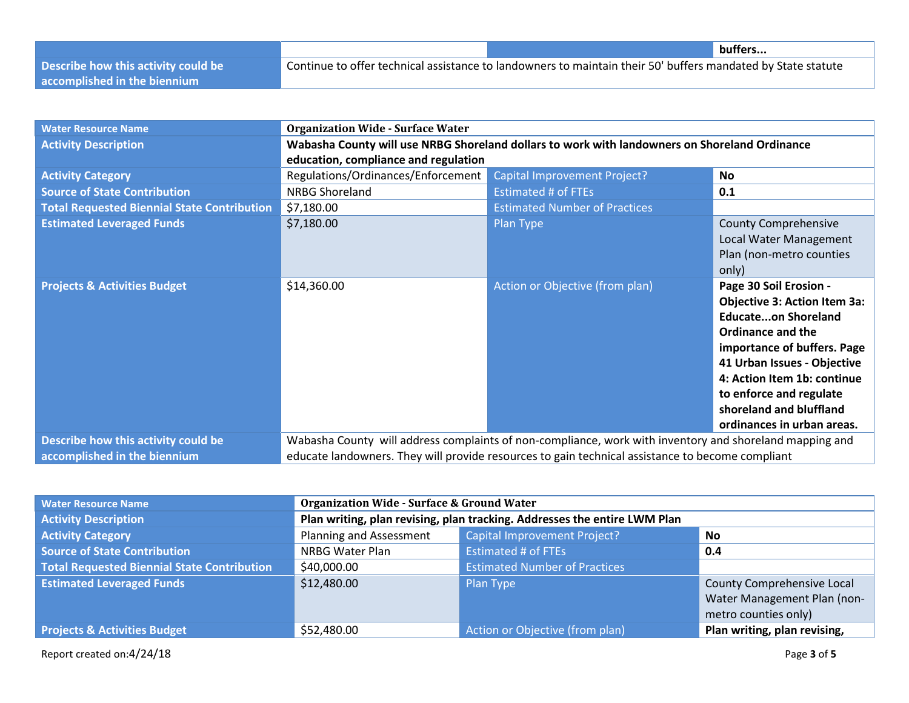|                                     |                                                                                                              | buffers |
|-------------------------------------|--------------------------------------------------------------------------------------------------------------|---------|
| Describe how this activity could be | Continue to offer technical assistance to landowners to maintain their 50' buffers mandated by State statute |         |
| accomplished in the biennium        |                                                                                                              |         |

| <b>Water Resource Name</b>                         | <b>Organization Wide - Surface Water</b>                                                         |                                                                                                         |                                     |
|----------------------------------------------------|--------------------------------------------------------------------------------------------------|---------------------------------------------------------------------------------------------------------|-------------------------------------|
| <b>Activity Description</b>                        | Wabasha County will use NRBG Shoreland dollars to work with landowners on Shoreland Ordinance    |                                                                                                         |                                     |
|                                                    | education, compliance and regulation                                                             |                                                                                                         |                                     |
| <b>Activity Category</b>                           | Regulations/Ordinances/Enforcement                                                               | <b>Capital Improvement Project?</b>                                                                     | <b>No</b>                           |
| <b>Source of State Contribution</b>                | <b>NRBG Shoreland</b>                                                                            | <b>Estimated # of FTEs</b>                                                                              | 0.1                                 |
| <b>Total Requested Biennial State Contribution</b> | \$7,180.00                                                                                       | <b>Estimated Number of Practices</b>                                                                    |                                     |
| <b>Estimated Leveraged Funds</b>                   | \$7,180.00                                                                                       | Plan Type                                                                                               | <b>County Comprehensive</b>         |
|                                                    |                                                                                                  |                                                                                                         | Local Water Management              |
|                                                    |                                                                                                  |                                                                                                         | Plan (non-metro counties            |
|                                                    |                                                                                                  |                                                                                                         | only)                               |
| <b>Projects &amp; Activities Budget</b>            | \$14,360.00                                                                                      | Action or Objective (from plan)                                                                         | Page 30 Soil Erosion -              |
|                                                    |                                                                                                  |                                                                                                         | <b>Objective 3: Action Item 3a:</b> |
|                                                    |                                                                                                  |                                                                                                         | <b>Educateon Shoreland</b>          |
|                                                    |                                                                                                  |                                                                                                         | <b>Ordinance and the</b>            |
|                                                    |                                                                                                  |                                                                                                         | importance of buffers. Page         |
|                                                    |                                                                                                  |                                                                                                         | 41 Urban Issues - Objective         |
|                                                    |                                                                                                  |                                                                                                         | 4: Action Item 1b: continue         |
|                                                    |                                                                                                  |                                                                                                         | to enforce and regulate             |
|                                                    |                                                                                                  |                                                                                                         | shoreland and bluffland             |
|                                                    |                                                                                                  |                                                                                                         | ordinances in urban areas.          |
| Describe how this activity could be                |                                                                                                  | Wabasha County will address complaints of non-compliance, work with inventory and shoreland mapping and |                                     |
| accomplished in the biennium                       | educate landowners. They will provide resources to gain technical assistance to become compliant |                                                                                                         |                                     |

| <b>Water Resource Name</b>                         | <b>Organization Wide - Surface &amp; Ground Water</b>                     |                                      |                              |
|----------------------------------------------------|---------------------------------------------------------------------------|--------------------------------------|------------------------------|
| <b>Activity Description</b>                        | Plan writing, plan revising, plan tracking. Addresses the entire LWM Plan |                                      |                              |
| <b>Activity Category</b>                           | Planning and Assessment                                                   | <b>Capital Improvement Project?</b>  | No                           |
| <b>Source of State Contribution</b>                | <b>NRBG Water Plan</b>                                                    | <b>Estimated # of FTEs</b>           | 0.4                          |
| <b>Total Requested Biennial State Contribution</b> | \$40,000.00                                                               | <b>Estimated Number of Practices</b> |                              |
| <b>Estimated Leveraged Funds</b>                   | \$12,480.00                                                               | Plan Type                            | County Comprehensive Local   |
|                                                    |                                                                           |                                      | Water Management Plan (non-  |
|                                                    |                                                                           |                                      | metro counties only)         |
| <b>Projects &amp; Activities Budget</b>            | \$52,480.00                                                               | Action or Objective (from plan)      | Plan writing, plan revising, |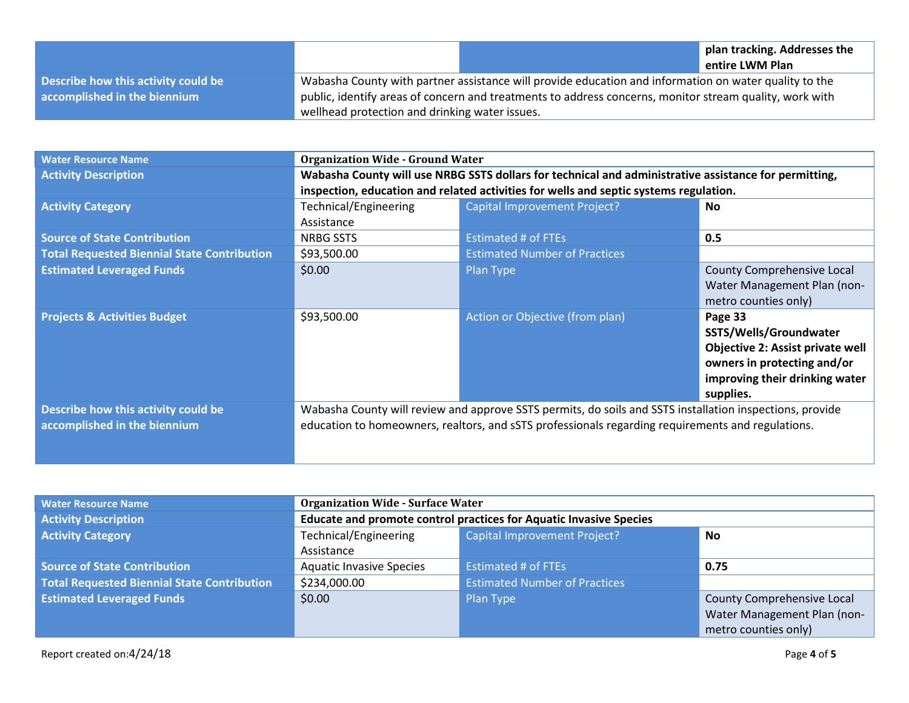|                                     |                                                |                                                                                                         | plan tracking. Addresses the<br>entire LWM Plan |
|-------------------------------------|------------------------------------------------|---------------------------------------------------------------------------------------------------------|-------------------------------------------------|
| Describe how this activity could be |                                                | Wabasha County with partner assistance will provide education and information on water quality to the   |                                                 |
| accomplished in the biennium        |                                                | public, identify areas of concern and treatments to address concerns, monitor stream quality, work with |                                                 |
|                                     | wellhead protection and drinking water issues. |                                                                                                         |                                                 |

| <b>Water Resource Name</b>                         | <b>Organization Wide - Ground Water</b>                                                                  |                                                                                       |                                         |
|----------------------------------------------------|----------------------------------------------------------------------------------------------------------|---------------------------------------------------------------------------------------|-----------------------------------------|
| <b>Activity Description</b>                        | Wabasha County will use NRBG SSTS dollars for technical and administrative assistance for permitting,    |                                                                                       |                                         |
|                                                    |                                                                                                          | inspection, education and related activities for wells and septic systems regulation. |                                         |
| <b>Activity Category</b>                           | Technical/Engineering                                                                                    | <b>Capital Improvement Project?</b>                                                   | No.                                     |
|                                                    | Assistance                                                                                               |                                                                                       |                                         |
| <b>Source of State Contribution</b>                | <b>NRBG SSTS</b>                                                                                         | <b>Estimated # of FTEs</b>                                                            | 0.5                                     |
| <b>Total Requested Biennial State Contribution</b> | \$93,500.00                                                                                              | <b>Estimated Number of Practices</b>                                                  |                                         |
| <b>Estimated Leveraged Funds</b>                   | \$0.00                                                                                                   | Plan Type                                                                             | <b>County Comprehensive Local</b>       |
|                                                    |                                                                                                          |                                                                                       | Water Management Plan (non-             |
|                                                    |                                                                                                          |                                                                                       | metro counties only)                    |
| <b>Projects &amp; Activities Budget</b>            | \$93,500.00                                                                                              | Action or Objective (from plan)                                                       | Page 33                                 |
|                                                    |                                                                                                          |                                                                                       | SSTS/Wells/Groundwater                  |
|                                                    |                                                                                                          |                                                                                       | <b>Objective 2: Assist private well</b> |
|                                                    |                                                                                                          |                                                                                       | owners in protecting and/or             |
|                                                    |                                                                                                          |                                                                                       | improving their drinking water          |
|                                                    |                                                                                                          |                                                                                       | supplies.                               |
| Describe how this activity could be                | Wabasha County will review and approve SSTS permits, do soils and SSTS installation inspections, provide |                                                                                       |                                         |
| accomplished in the biennium                       | education to homeowners, realtors, and sSTS professionals regarding requirements and regulations.        |                                                                                       |                                         |
|                                                    |                                                                                                          |                                                                                       |                                         |
|                                                    |                                                                                                          |                                                                                       |                                         |

| <b>Water Resource Name</b>                         | <b>Organization Wide - Surface Water</b>                                  |                                      |                             |
|----------------------------------------------------|---------------------------------------------------------------------------|--------------------------------------|-----------------------------|
| <b>Activity Description</b>                        | <b>Educate and promote control practices for Aquatic Invasive Species</b> |                                      |                             |
| <b>Activity Category</b>                           | Technical/Engineering                                                     | Capital Improvement Project?         | <b>No</b>                   |
|                                                    | Assistance                                                                |                                      |                             |
| <b>Source of State Contribution</b>                | <b>Aquatic Invasive Species</b>                                           | <b>Estimated # of FTEs</b>           | 0.75                        |
| <b>Total Requested Biennial State Contribution</b> | \$234,000.00                                                              | <b>Estimated Number of Practices</b> |                             |
| <b>Estimated Leveraged Funds</b>                   | \$0.00                                                                    | Plan Type                            | County Comprehensive Local  |
|                                                    |                                                                           |                                      | Water Management Plan (non- |
|                                                    |                                                                           |                                      | metro counties only)        |